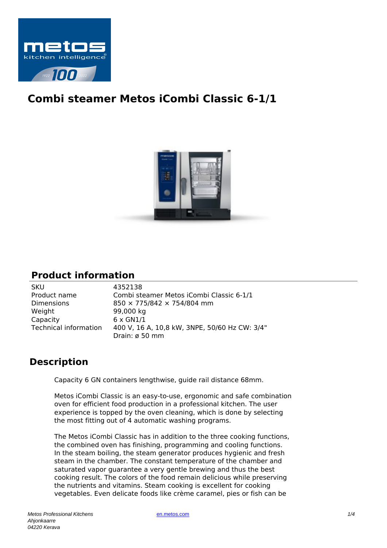

## **Combi steamer Metos iCombi Classic 6-1/1**



## **Product information**

| <b>SKU</b>            | 4352138                                       |
|-----------------------|-----------------------------------------------|
| Product name          | Combi steamer Metos iCombi Classic 6-1/1      |
| <b>Dimensions</b>     | 850 × 775/842 × 754/804 mm                    |
| Weight                | 99,000 kg                                     |
| Capacity              | $6 \times$ GN1/1                              |
| Technical information | 400 V, 16 A, 10,8 kW, 3NPE, 50/60 Hz CW: 3/4" |
|                       | Drain: ø 50 mm                                |

## **Description**

Capacity 6 GN containers lengthwise, guide rail distance 68mm.

Metos iCombi Classic is an easy-to-use, ergonomic and safe combination oven for efficient food production in a professional kitchen. The user experience is topped by the oven cleaning, which is done by selecting the most fitting out of 4 automatic washing programs.

The Metos iCombi Classic has in addition to the three cooking functions, the combined oven has finishing, programming and cooling functions. In the steam boiling, the steam generator produces hygienic and fresh steam in the chamber. The constant temperature of the chamber and saturated vapor guarantee a very gentle brewing and thus the best cooking result. The colors of the food remain delicious while preserving the nutrients and vitamins. Steam cooking is excellent for cooking vegetables. Even delicate foods like crème caramel, pies or fish can be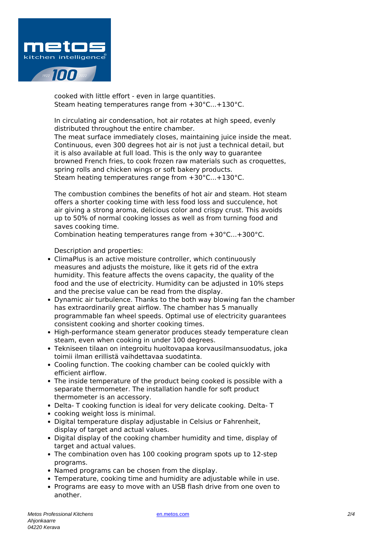

cooked with little effort - even in large quantities. Steam heating temperatures range from +30°C...+130°C.

In circulating air condensation, hot air rotates at high speed, evenly distributed throughout the entire chamber. The meat surface immediately closes, maintaining juice inside the meat. Continuous, even 300 degrees hot air is not just a technical detail, but it is also available at full load. This is the only way to guarantee browned French fries, to cook frozen raw materials such as croquettes, spring rolls and chicken wings or soft bakery products. Steam heating temperatures range from +30°C...+130°C.

The combustion combines the benefits of hot air and steam. Hot steam offers a shorter cooking time with less food loss and succulence, hot air giving a strong aroma, delicious color and crispy crust. This avoids up to 50% of normal cooking losses as well as from turning food and saves cooking time.

Combination heating temperatures range from +30°C...+300°C.

Description and properties:

- ClimaPlus is an active moisture controller, which continuously measures and adjusts the moisture, like it gets rid of the extra humidity. This feature affects the ovens capacity, the quality of the food and the use of electricity. Humidity can be adjusted in 10% steps and the precise value can be read from the display.
- Dynamic air turbulence. Thanks to the both way blowing fan the chamber has extraordinarily great airflow. The chamber has 5 manually programmable fan wheel speeds. Optimal use of electricity guarantees consistent cooking and shorter cooking times.
- High-performance steam generator produces steady temperature clean steam, even when cooking in under 100 degrees.
- Tekniseen tilaan on integroitu huoltovapaa korvausilmansuodatus, joka toimii ilman erillistä vaihdettavaa suodatinta.
- Cooling function. The cooking chamber can be cooled quickly with efficient airflow.
- The inside temperature of the product being cooked is possible with a separate thermometer. The installation handle for soft product thermometer is an accessory.
- Delta- T cooking function is ideal for very delicate cooking. Delta- T
- cooking weight loss is minimal.
- Digital temperature display adjustable in Celsius or Fahrenheit, display of target and actual values.
- Digital display of the cooking chamber humidity and time, display of target and actual values.
- The combination oven has 100 cooking program spots up to 12-step programs.
- Named programs can be chosen from the display.
- Temperature, cooking time and humidity are adjustable while in use.
- Programs are easy to move with an USB flash drive from one oven to another.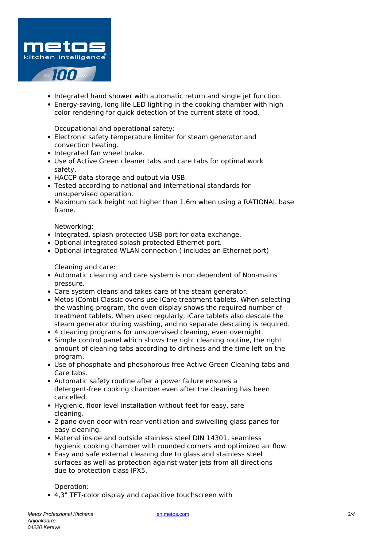

- Integrated hand shower with automatic return and single jet function.
- Energy-saving, long life LED lighting in the cooking chamber with high color rendering for quick detection of the current state of food.

Occupational and operational safety:

- Electronic safety temperature limiter for steam generator and convection heating.
- Integrated fan wheel brake.
- Use of Active Green cleaner tabs and care tabs for optimal work safety.
- HACCP data storage and output via USB.
- Tested according to national and international standards for unsupervised operation.
- Maximum rack height not higher than 1.6m when using a RATIONAL base frame.

Networking:

- Integrated, splash protected USB port for data exchange.
- Optional integrated splash protected Ethernet port.
- Optional integrated WLAN connection ( includes an Ethernet port)

Cleaning and care:

- Automatic cleaning and care system is non dependent of Non-mains pressure.
- Care system cleans and takes care of the steam generator.
- Metos iCombi Classic ovens use iCare treatment tablets. When selecting the washing program, the oven display shows the required number of treatment tablets. When used regularly, iCare tablets also descale the steam generator during washing, and no separate descaling is required.
- 4 cleaning programs for unsupervised cleaning, even overnight.
- Simple control panel which shows the right cleaning routine, the right amount of cleaning tabs according to dirtiness and the time left on the program.
- Use of phosphate and phosphorous free Active Green Cleaning tabs and Care tabs.
- Automatic safety routine after a power failure ensures a detergent-free cooking chamber even after the cleaning has been cancelled.
- Hygienic, floor level installation without feet for easy, safe cleaning.
- 2 pane oven door with rear ventilation and swivelling glass panes for easy cleaning.
- Material inside and outside stainless steel DIN 14301, seamless hygienic cooking chamber with rounded corners and optimized air flow.
- Easy and safe external cleaning due to glass and stainless steel surfaces as well as protection against water jets from all directions due to protection class IPX5.

Operation:

4,3" TFT-color display and capacitive touchscreen with